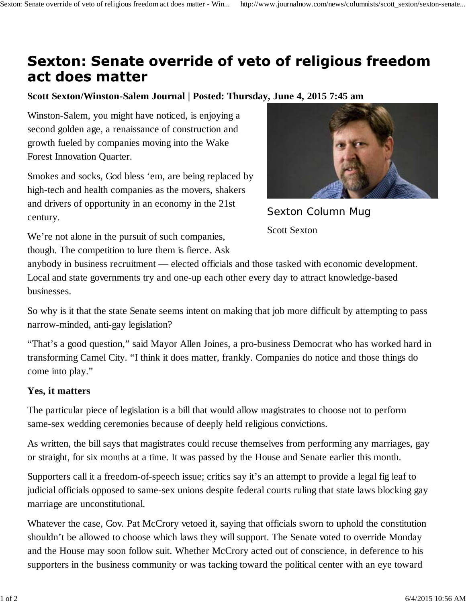## **Sexton: Senate override of veto of religious freedom** act does matter

## **Scott Sexton/Winston-Salem Journal | Posted: Thursday, June 4, 2015 7:45 am**

Winston-Salem, you might have noticed, is enjoying a second golden age, a renaissance of construction and growth fueled by companies moving into the Wake Forest Innovation Quarter.

Smokes and socks, God bless 'em, are being replaced by high-tech and health companies as the movers, shakers and drivers of opportunity in an economy in the 21st century.



Sexton Column Mug Scott Sexton

We're not alone in the pursuit of such companies, though. The competition to lure them is fierce. Ask

anybody in business recruitment — elected officials and those tasked with economic development. Local and state governments try and one-up each other every day to attract knowledge-based businesses.

So why is it that the state Senate seems intent on making that job more difficult by attempting to pass narrow-minded, anti-gay legislation?

"That's a good question," said Mayor Allen Joines, a pro-business Democrat who has worked hard in transforming Camel City. "I think it does matter, frankly. Companies do notice and those things do come into play."

## **Yes, it matters**

The particular piece of legislation is a bill that would allow magistrates to choose not to perform same-sex wedding ceremonies because of deeply held religious convictions.

As written, the bill says that magistrates could recuse themselves from performing any marriages, gay or straight, for six months at a time. It was passed by the House and Senate earlier this month.

Supporters call it a freedom-of-speech issue; critics say it's an attempt to provide a legal fig leaf to judicial officials opposed to same-sex unions despite federal courts ruling that state laws blocking gay marriage are unconstitutional.

Whatever the case, Gov. Pat McCrory vetoed it, saying that officials sworn to uphold the constitution shouldn't be allowed to choose which laws they will support. The Senate voted to override Monday and the House may soon follow suit. Whether McCrory acted out of conscience, in deference to his supporters in the business community or was tacking toward the political center with an eye toward